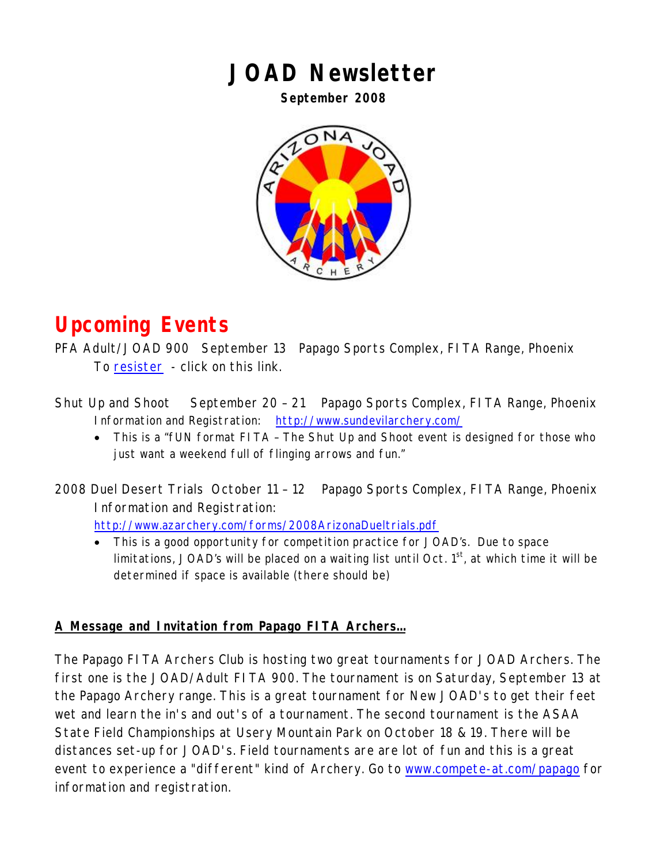#### **JOAD Newsletter**

**September 2008** 



### **Upcoming Events**

PFA Adult/JOAD 900 September 13 Papago Sports Complex, FITA Range, Phoenix To [resister](https://archery.compete-at.com/Regatta/RegattaClub.do?clubContext=papagoarchery&page=events) - click on this link.

- Shut Up and Shoot September 20 21 Papago Sports Complex, FITA Range, Phoenix Information and Registration: <http://www.sundevilarchery.com/>
	- This is a "fUN format FITA The Shut Up and Shoot event is designed for those who just want a weekend full of flinging arrows and fun."

2008 Duel Desert Trials October 11 – 12 Papago Sports Complex, FITA Range, Phoenix Information and Registration: <http://www.azarchery.com/forms/2008ArizonaDueltrials.pdf>

• This is a good opportunity for competition practice for JOAD's. Due to space limitations, JOAD's will be placed on a waiting list until Oct.  $1<sup>st</sup>$ , at which time it will be determined if space is available (there should be)

#### **A Message and Invitation from Papago FITA Archers…**

The Papago FITA Archers Club is hosting two great tournaments for JOAD Archers. The first one is the JOAD/Adult FITA 900. The tournament is on Saturday, September 13 at the Papago Archery range. This is a great tournament for New JOAD's to get their feet wet and learn the in's and out's of a tournament. The second tournament is the ASAA State Field Championships at Usery Mountain Park on October 18 & 19. There will be distances set-up for JOAD's. Field tournaments are are lot of fun and this is a great event to experience a "different" kind of Archery. Go to [www.compete-at.com/papago](http://www.compete-at.com/papago) for information and registration.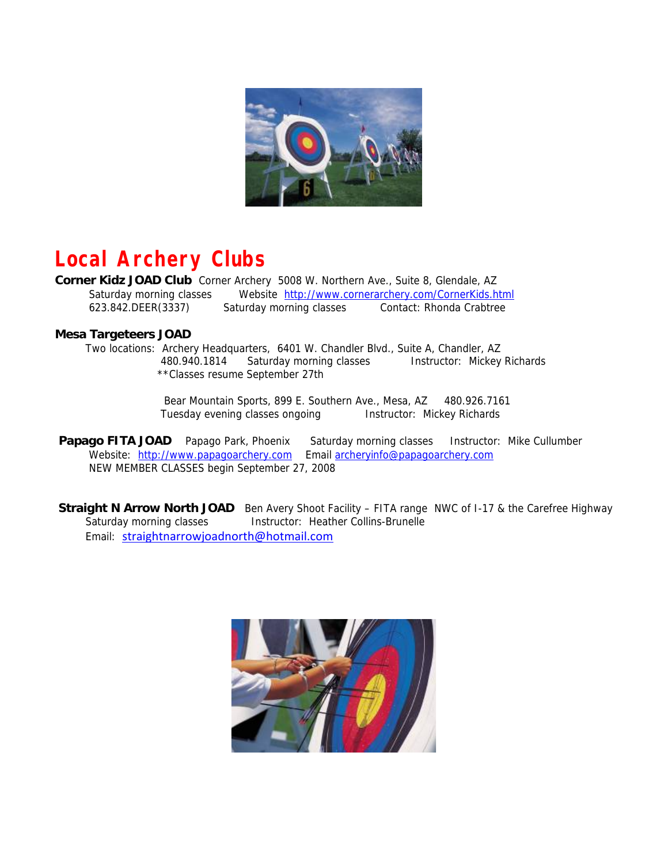

## **Local Archery Clubs**

**Corner Kidz JOAD Club** Corner Archery 5008 W. Northern Ave., Suite 8, Glendale, AZ Saturday morning classes Website <http://www.cornerarchery.com/CornerKids.html> 623.842.DEER(3337) Saturday morning classes Contact: Rhonda Crabtree

#### **Mesa Targeteers JOAD**

 Two locations: Archery Headquarters, 6401 W. Chandler Blvd., Suite A, Chandler, AZ 480.940.1814 Saturday morning classes Instructor: Mickey Richards \*\*Classes resume September 27th

> Bear Mountain Sports, 899 E. Southern Ave., Mesa, AZ 480.926.7161 Tuesday evening classes ongoing **Instructor: Mickey Richards**

**Papago FITA JOAD** Papago Park, Phoenix Saturday morning classes Instructor: Mike Cullumber Website: [http://www.papagoarchery.com](http://www.papagoarchery.com/index2.html) Email [archeryinfo@papagoarchery.com](mailto:archeryinfo@papagoarchery.com) NEW MEMBER CLASSES begin September 27, 2008

**Straight N Arrow North JOAD** Ben Avery Shoot Facility – FITA range NWC of I-17 & the Carefree Highway Saturday morning classes **Instructor: Heather Collins-Brunelle** Email: [straightnarrowjoadnorth@hotmail.com](mailto:straightnarrowjoadnorth@hotmail.com)

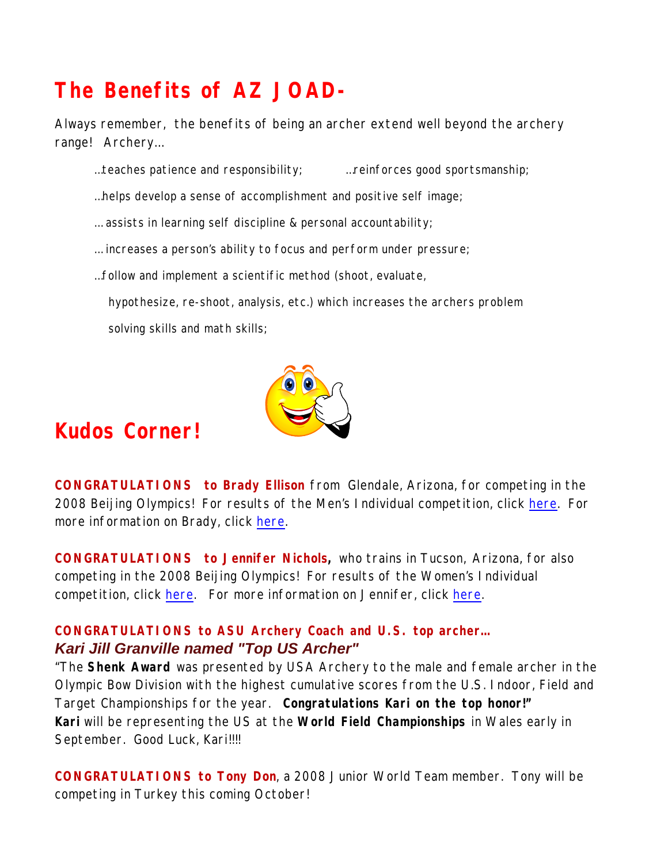# **The Benefits of AZ JOAD-**

Always remember, the benefits of being an archer extend well beyond the archery range! Archery…

- ...teaches patience and responsibility;  $\ldots$  reinforces good sportsmanship;
- …helps develop a sense of accomplishment and positive self image;
- … assists in learning self discipline & personal accountability;
- … increases a person's ability to focus and perform under pressure;
- …follow and implement a scientific method (shoot, evaluate,

 hypothesize, re-shoot, analysis, etc.) which increases the archers problem solving skills and math skills;



#### **Kudos Corner!**

**CONGRATULATIONS to Brady Ellison** from Glendale, Arizona, for competing in the 2008 Beijing Olympics! For results of the Men's Individual competition, click [here.](http://www.archery.org/UserFiles/Document/Results/Results/2008/08_OG_Beijing/ARM070901.01.C73A.1.0.pdf) For more information on Brady, click [here](http://archery.teamusa.org/athlete/athlete/39).

**CONGRATULATIONS to Jennifer Nichols,** who trains in Tucson, Arizona, for also competing in the 2008 Beijing Olympics! For results of the Women's Individual competition, click [here.](http://www.archery.org/UserFiles/Document/Results/Results/2008/08_OG_Beijing/ARW070901.01.C73A.1.0.pdf) For more information on Jennifer, click [here](http://archery.teamusa.org/athlete/athlete/51).

#### **CONGRATULATIONS to ASU Archery Coach and U.S. top archer…** *Kari Jill Granville named "Top US Archer"*

"The **Shenk Award** was presented by USA Archery to the male and female archer in the Olympic Bow Division with the highest cumulative scores from the U.S. Indoor, Field and Target Championships for the year. **Congratulations Kari on the top honor!" Kari** will be representing the US at the **World Field Championships** in Wales early in September. Good Luck, Kari!!!!

**CONGRATULATIONS to Tony Don**, a 2008 Junior World Team member. Tony will be competing in Turkey this coming October!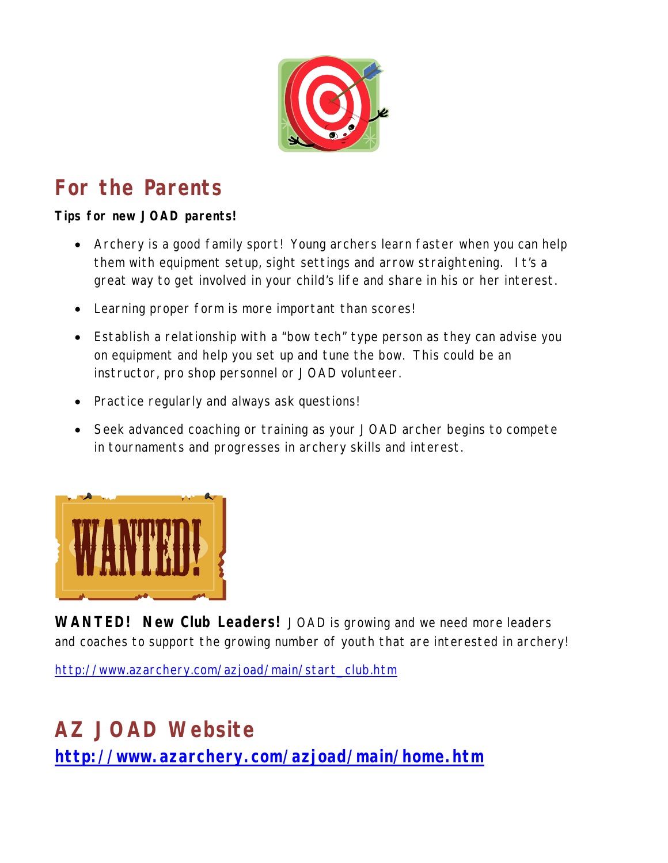

# **For the Parents**

**Tips for new JOAD parents!** 

- Archery is a good family sport! Young archers learn faster when you can help them with equipment setup, sight settings and arrow straightening. It's a great way to get involved in your child's life and share in his or her interest.
- Learning proper form is more important than scores!
- Establish a relationship with a "bow tech" type person as they can advise you on equipment and help you set up and tune the bow. This could be an instructor, pro shop personnel or JOAD volunteer.
- Practice regularly and always ask questions!
- Seek advanced coaching or training as your JOAD archer begins to compete in tournaments and progresses in archery skills and interest.



**WANTED! New Club Leaders!** JOAD is growing and we need more leaders and coaches to support the growing number of youth that are interested in archery!

[http://www.azarchery.com/azjoad/main/start\\_club.htm](http://www.azarchery.com/azjoad/main/start_club.htm)

## **AZ JOAD Website <http://www.azarchery.com/azjoad/main/home.htm>**